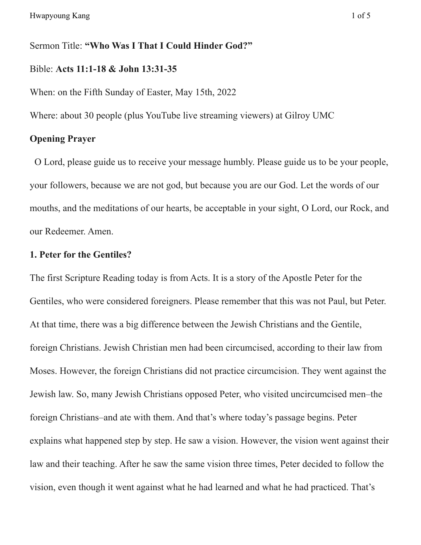Sermon Title: **"Who Was I That I Could Hinder God?"**

### Bible: **Acts 11:1-18 & John 13:31-35**

When: on the Fifth Sunday of Easter, May 15th, 2022

Where: about 30 people (plus YouTube live streaming viewers) at Gilroy UMC

## **Opening Prayer**

O Lord, please guide us to receive your message humbly. Please guide us to be your people, your followers, because we are not god, but because you are our God. Let the words of our mouths, and the meditations of our hearts, be acceptable in your sight, O Lord, our Rock, and our Redeemer. Amen.

### **1. Peter for the Gentiles?**

The first Scripture Reading today is from Acts. It is a story of the Apostle Peter for the Gentiles, who were considered foreigners. Please remember that this was not Paul, but Peter. At that time, there was a big difference between the Jewish Christians and the Gentile, foreign Christians. Jewish Christian men had been circumcised, according to their law from Moses. However, the foreign Christians did not practice circumcision. They went against the Jewish law. So, many Jewish Christians opposed Peter, who visited uncircumcised men–the foreign Christians–and ate with them. And that's where today's passage begins. Peter explains what happened step by step. He saw a vision. However, the vision went against their law and their teaching. After he saw the same vision three times, Peter decided to follow the vision, even though it went against what he had learned and what he had practiced. That's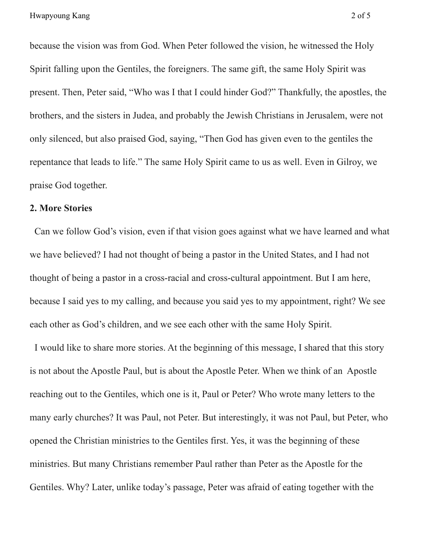because the vision was from God. When Peter followed the vision, he witnessed the Holy Spirit falling upon the Gentiles, the foreigners. The same gift, the same Holy Spirit was present. Then, Peter said, "Who was I that I could hinder God?" Thankfully, the apostles, the brothers, and the sisters in Judea, and probably the Jewish Christians in Jerusalem, were not only silenced, but also praised God, saying, "Then God has given even to the gentiles the repentance that leads to life." The same Holy Spirit came to us as well. Even in Gilroy, we praise God together.

#### **2. More Stories**

Can we follow God's vision, even if that vision goes against what we have learned and what we have believed? I had not thought of being a pastor in the United States, and I had not thought of being a pastor in a cross-racial and cross-cultural appointment. But I am here, because I said yes to my calling, and because you said yes to my appointment, right? We see each other as God's children, and we see each other with the same Holy Spirit.

I would like to share more stories. At the beginning of this message, I shared that this story is not about the Apostle Paul, but is about the Apostle Peter. When we think of an Apostle reaching out to the Gentiles, which one is it, Paul or Peter? Who wrote many letters to the many early churches? It was Paul, not Peter. But interestingly, it was not Paul, but Peter, who opened the Christian ministries to the Gentiles first. Yes, it was the beginning of these ministries. But many Christians remember Paul rather than Peter as the Apostle for the Gentiles. Why? Later, unlike today's passage, Peter was afraid of eating together with the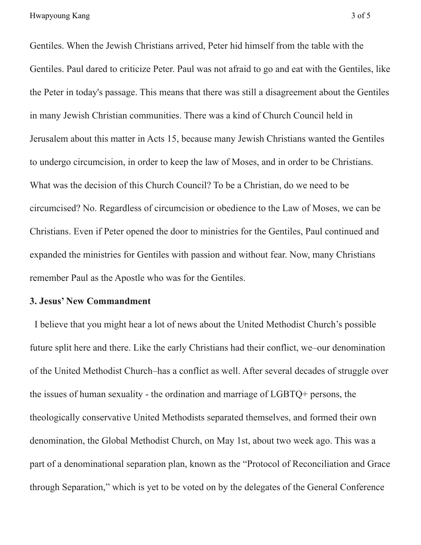Gentiles. When the Jewish Christians arrived, Peter hid himself from the table with the Gentiles. Paul dared to criticize Peter. Paul was not afraid to go and eat with the Gentiles, like the Peter in today's passage. This means that there was still a disagreement about the Gentiles in many Jewish Christian communities. There was a kind of Church Council held in Jerusalem about this matter in Acts 15, because many Jewish Christians wanted the Gentiles to undergo circumcision, in order to keep the law of Moses, and in order to be Christians. What was the decision of this Church Council? To be a Christian, do we need to be circumcised? No. Regardless of circumcision or obedience to the Law of Moses, we can be Christians. Even if Peter opened the door to ministries for the Gentiles, Paul continued and expanded the ministries for Gentiles with passion and without fear. Now, many Christians remember Paul as the Apostle who was for the Gentiles.

#### **3. Jesus' New Commandment**

I believe that you might hear a lot of news about the United Methodist Church's possible future split here and there. Like the early Christians had their conflict, we–our denomination of the United Methodist Church–has a conflict as well. After several decades of struggle over the issues of human sexuality - the ordination and marriage of LGBTQ+ persons, the theologically conservative United Methodists separated themselves, and formed their own denomination, the Global Methodist Church, on May 1st, about two week ago. This was a part of a denominational separation plan, known as the "Protocol of Reconciliation and Grace through Separation," which is yet to be voted on by the delegates of the General Conference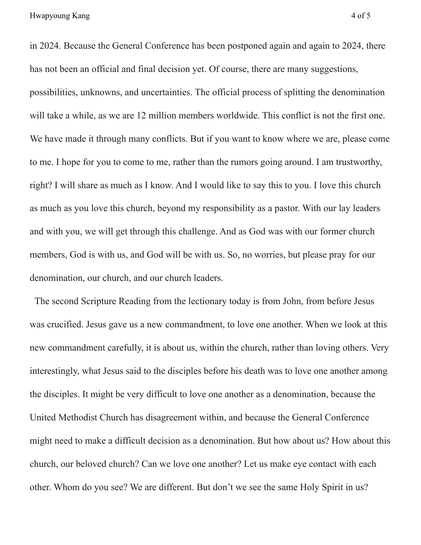in 2024. Because the General Conference has been postponed again and again to 2024, there has not been an official and final decision yet. Of course, there are many suggestions, possibilities, unknowns, and uncertainties. The official process of splitting the denomination will take a while, as we are 12 million members worldwide. This conflict is not the first one. We have made it through many conflicts. But if you want to know where we are, please come to me. I hope for you to come to me, rather than the rumors going around. I am trustworthy, right? I will share as much as I know. And I would like to say this to you. I love this church as much as you love this church, beyond my responsibility as a pastor. With our lay leaders and with you, we will get through this challenge. And as God was with our former church members, God is with us, and God will be with us. So, no worries, but please pray for our denomination, our church, and our church leaders.

The second Scripture Reading from the lectionary today is from John, from before Jesus was crucified. Jesus gave us a new commandment, to love one another. When we look at this new commandment carefully, it is about us, within the church, rather than loving others. Very interestingly, what Jesus said to the disciples before his death was to love one another among the disciples. It might be very difficult to love one another as a denomination, because the United Methodist Church has disagreement within, and because the General Conference might need to make a difficult decision as a denomination. But how about us? How about this church, our beloved church? Can we love one another? Let us make eye contact with each other. Whom do you see? We are different. But don't we see the same Holy Spirit in us?